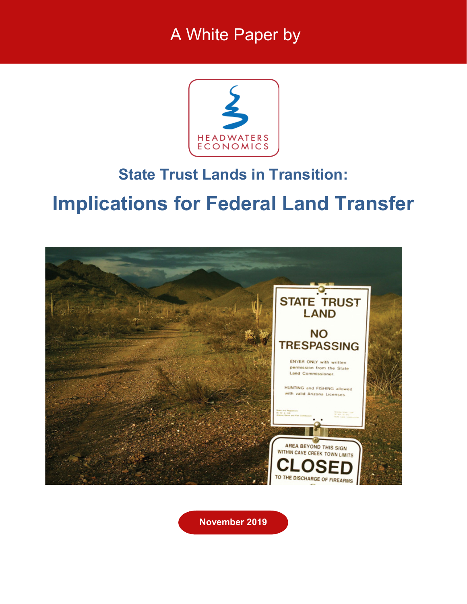## A White Paper by



# **State Trust Lands in Transition: Implications for Federal Land Transfer**



**November 2019**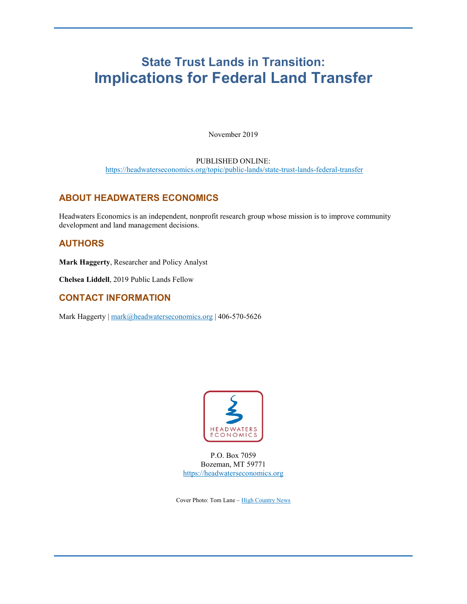### **State Trust Lands in Transition: Implications for Federal Land Transfer**

November 2019

PUBLISHED ONLINE: <https://headwaterseconomics.org/topic/public-lands/state-trust-lands-federal-transfer>

#### **ABOUT HEADWATERS ECONOMICS**

Headwaters Economics is an independent, nonprofit research group whose mission is to improve community development and land management decisions.

#### **AUTHORS**

**Mark Haggerty**, Researcher and Policy Analyst

**Chelsea Liddell**, 2019 Public Lands Fellow

#### **CONTACT INFORMATION**

Mark Haggerty | [mark@headwaterseconomics.org](mailto:mark@headwaterseconomics.org) | 406-570-5626



P.O. Box 7059 Bozeman, MT 59771 [https://headwaterseconomics.org](https://headwaterseconomics.org/)

Cover Photo: Tom Lane – [High Country News](https://www.hcn.org/issues/43.10/states-work-conservation-into-trust-lands-management)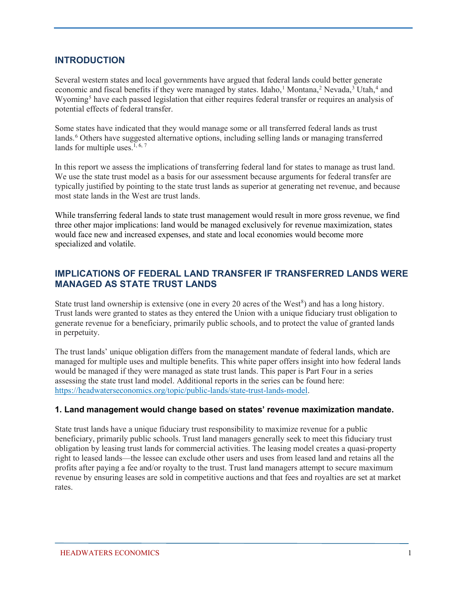#### **INTRODUCTION**

<span id="page-2-3"></span><span id="page-2-2"></span><span id="page-2-0"></span>Several western states and local governments have argued that federal lands could better generate economic and fiscal benefits if they were managed by states. Idaho,<sup>[1](#page-7-0)</sup> Montana,<sup>[2](#page-7-1)</sup> Nevada,<sup>[3](#page-7-2)</sup> Utah,<sup>[4](#page-7-3)</sup> and Wyoming<sup>[5](#page-7-4)</sup> have each passed legislation that either requires federal transfer or requires an analysis of potential effects of federal transfer.

<span id="page-2-1"></span>Some states have indicated that they would manage some or all transferred federal lands as trust lands.<sup>[6](#page-8-0)</sup> Others have suggested alternative options, including selling lands or managing transferred lands for multiple uses.<sup>1, [6,](#page-2-1) [7](#page-8-1)</sup>

In this report we assess the implications of transferring federal land for states to manage as trust land. We use the state trust model as a basis for our assessment because arguments for federal transfer are typically justified by pointing to the state trust lands as superior at generating net revenue, and because most state lands in the West are trust lands.

While transferring federal lands to state trust management would result in more gross revenue, we find three other major implications: land would be managed exclusively for revenue maximization, states would face new and increased expenses, and state and local economies would become more specialized and volatile.

#### **IMPLICATIONS OF FEDERAL LAND TRANSFER IF TRANSFERRED LANDS WERE MANAGED AS STATE TRUST LANDS**

State trust land ownership is extensive (one in every 20 acres of the West<sup>[8](#page-8-2)</sup>) and has a long history. Trust lands were granted to states as they entered the Union with a unique fiduciary trust obligation to generate revenue for a beneficiary, primarily public schools, and to protect the value of granted lands in perpetuity.

The trust lands' unique obligation differs from the management mandate of federal lands, which are managed for multiple uses and multiple benefits. This white paper offers insight into how federal lands would be managed if they were managed as state trust lands. This paper is Part Four in a series assessing the state trust land model. Additional reports in the series can be found here: [https://headwaterseconomics.org/topic/public-lands/state-trust-lands-model.](https://headwaterseconomics.org/topic/public-lands/state-trust-lands-model)

#### **1. Land management would change based on states' revenue maximization mandate.**

State trust lands have a unique fiduciary trust responsibility to maximize revenue for a public beneficiary, primarily public schools. Trust land managers generally seek to meet this fiduciary trust obligation by leasing trust lands for commercial activities. The leasing model creates a quasi-property right to leased lands—the lessee can exclude other users and uses from leased land and retains all the profits after paying a fee and/or royalty to the trust. Trust land managers attempt to secure maximum revenue by ensuring leases are sold in competitive auctions and that fees and royalties are set at market rates.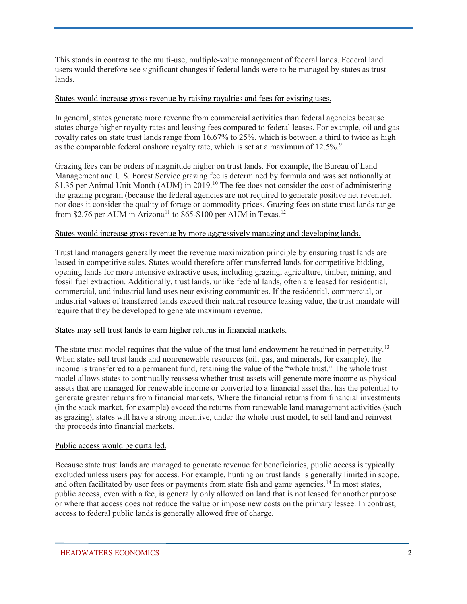This stands in contrast to the multi-use, multiple-value management of federal lands. Federal land users would therefore see significant changes if federal lands were to be managed by states as trust lands.

#### States would increase gross revenue by raising royalties and fees for existing uses.

In general, states generate more revenue from commercial activities than federal agencies because states charge higher royalty rates and leasing fees compared to federal leases. For example, oil and gas royalty rates on state trust lands range from 16.67% to 25%, which is between a third to twice as high as the comparable federal onshore royalty rate, which is set at a maximum of 12.5%.<sup>[9](#page-8-3)</sup>

Grazing fees can be orders of magnitude higher on trust lands. For example, the Bureau of Land Management and U.S. Forest Service grazing fee is determined by formula and was set nationally at \$1.35 per Animal Unit Month (AUM) in 2019.<sup>[10](#page-8-4)</sup> The fee does not consider the cost of administering the grazing program (because the federal agencies are not required to generate positive net revenue), nor does it consider the quality of forage or commodity prices. Grazing fees on state trust lands range from \$2.76 per AUM in Arizona<sup>[11](#page-8-5)</sup> to \$65-\$100 per AUM in Texas.<sup>[12](#page-8-6)</sup>

#### States would increase gross revenue by more aggressively managing and developing lands.

Trust land managers generally meet the revenue maximization principle by ensuring trust lands are leased in competitive sales. States would therefore offer transferred lands for competitive bidding, opening lands for more intensive extractive uses, including grazing, agriculture, timber, mining, and fossil fuel extraction. Additionally, trust lands, unlike federal lands, often are leased for residential, commercial, and industrial land uses near existing communities. If the residential, commercial, or industrial values of transferred lands exceed their natural resource leasing value, the trust mandate will require that they be developed to generate maximum revenue.

#### States may sell trust lands to earn higher returns in financial markets.

The state trust model requires that the value of the trust land endowment be retained in perpetuity.<sup>[13](#page-8-7)</sup> When states sell trust lands and nonrenewable resources (oil, gas, and minerals, for example), the income is transferred to a permanent fund, retaining the value of the "whole trust." The whole trust model allows states to continually reassess whether trust assets will generate more income as physical assets that are managed for renewable income or converted to a financial asset that has the potential to generate greater returns from financial markets. Where the financial returns from financial investments (in the stock market, for example) exceed the returns from renewable land management activities (such as grazing), states will have a strong incentive, under the whole trust model, to sell land and reinvest the proceeds into financial markets.

#### Public access would be curtailed.

Because state trust lands are managed to generate revenue for beneficiaries, public access is typically excluded unless users pay for access. For example, hunting on trust lands is generally limited in scope, and often facilitated by user fees or payments from state fish and game agencies.<sup>14</sup> In most states, public access, even with a fee, is generally only allowed on land that is not leased for another purpose or where that access does not reduce the value or impose new costs on the primary lessee. In contrast, access to federal public lands is generally allowed free of charge.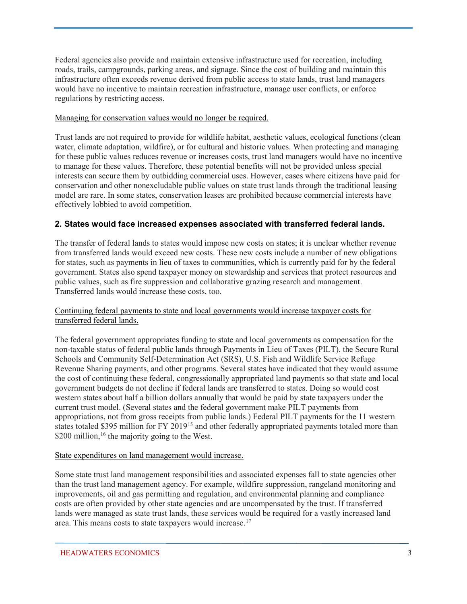Federal agencies also provide and maintain extensive infrastructure used for recreation, including roads, trails, campgrounds, parking areas, and signage. Since the cost of building and maintain this infrastructure often exceeds revenue derived from public access to state lands, trust land managers would have no incentive to maintain recreation infrastructure, manage user conflicts, or enforce regulations by restricting access.

#### Managing for conservation values would no longer be required.

Trust lands are not required to provide for wildlife habitat, aesthetic values, ecological functions (clean water, climate adaptation, wildfire), or for cultural and historic values. When protecting and managing for these public values reduces revenue or increases costs, trust land managers would have no incentive to manage for these values. Therefore, these potential benefits will not be provided unless special interests can secure them by outbidding commercial uses. However, cases where citizens have paid for conservation and other nonexcludable public values on state trust lands through the traditional leasing model are rare. In some states, conservation leases are prohibited because commercial interests have effectively lobbied to avoid competition.

#### **2. States would face increased expenses associated with transferred federal lands.**

The transfer of federal lands to states would impose new costs on states; it is unclear whether revenue from transferred lands would exceed new costs. These new costs include a number of new obligations for states, such as payments in lieu of taxes to communities, which is currently paid for by the federal government. States also spend taxpayer money on stewardship and services that protect resources and public values, such as fire suppression and collaborative grazing research and management. Transferred lands would increase these costs, too.

#### Continuing federal payments to state and local governments would increase taxpayer costs for transferred federal lands.

The federal government appropriates funding to state and local governments as compensation for the non-taxable status of federal public lands through Payments in Lieu of Taxes (PILT), the Secure Rural Schools and Community Self-Determination Act (SRS), U.S. Fish and Wildlife Service Refuge Revenue Sharing payments, and other programs. Several states have indicated that they would assume the cost of continuing these federal, congressionally appropriated land payments so that state and local government budgets do not decline if federal lands are transferred to states. Doing so would cost western states about half a billion dollars annually that would be paid by state taxpayers under the current trust model. (Several states and the federal government make PILT payments from appropriations, not from gross receipts from public lands.) Federal PILT payments for the 11 western states totaled \$395 million for FY 2019<sup>[15](#page-8-9)</sup> and other federally appropriated payments totaled more than \$200 million,<sup>[16](#page-8-10)</sup> the majority going to the West.

#### State expenditures on land management would increase.

Some state trust land management responsibilities and associated expenses fall to state agencies other than the trust land management agency. For example, wildfire suppression, rangeland monitoring and improvements, oil and gas permitting and regulation, and environmental planning and compliance costs are often provided by other state agencies and are uncompensated by the trust. If transferred lands were managed as state trust lands, these services would be required for a vastly increased land area. This means costs to state taxpayers would increase.[17](#page-8-11)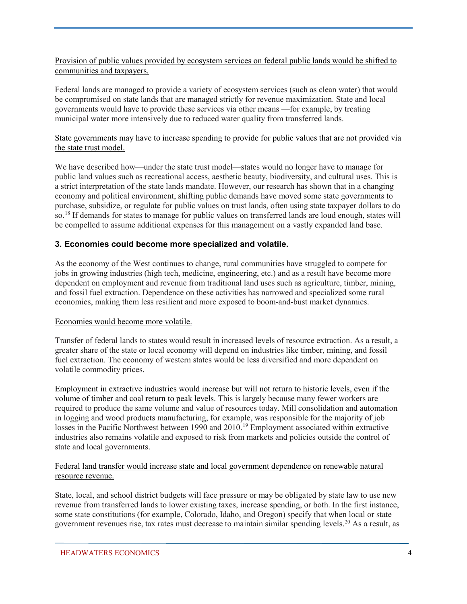#### Provision of public values provided by ecosystem services on federal public lands would be shifted to communities and taxpayers.

Federal lands are managed to provide a variety of ecosystem services (such as clean water) that would be compromised on state lands that are managed strictly for revenue maximization. State and local governments would have to provide these services via other means —for example, by treating municipal water more intensively due to reduced water quality from transferred lands.

#### State governments may have to increase spending to provide for public values that are not provided via the state trust model.

We have described how—under the state trust model—states would no longer have to manage for public land values such as recreational access, aesthetic beauty, biodiversity, and cultural uses. This is a strict interpretation of the state lands mandate. However, our research has shown that in a changing economy and political environment, shifting public demands have moved some state governments to purchase, subsidize, or regulate for public values on trust lands, often using state taxpayer dollars to do so.<sup>[18](#page-8-12)</sup> If demands for states to manage for public values on transferred lands are loud enough, states will be compelled to assume additional expenses for this management on a vastly expanded land base.

#### **3. Economies could become more specialized and volatile.**

As the economy of the West continues to change, rural communities have struggled to compete for jobs in growing industries (high tech, medicine, engineering, etc.) and as a result have become more dependent on employment and revenue from traditional land uses such as agriculture, timber, mining, and fossil fuel extraction. Dependence on these activities has narrowed and specialized some rural economies, making them less resilient and more exposed to boom-and-bust market dynamics.

#### Economies would become more volatile.

Transfer of federal lands to states would result in increased levels of resource extraction. As a result, a greater share of the state or local economy will depend on industries like timber, mining, and fossil fuel extraction. The economy of western states would be less diversified and more dependent on volatile commodity prices.

Employment in extractive industries would increase but will not return to historic levels, even if the volume of timber and coal return to peak levels. This is largely because many fewer workers are required to produce the same volume and value of resources today. Mill consolidation and automation in logging and wood products manufacturing, for example, was responsible for the majority of job losses in the Pacific Northwest between [19](#page-8-13)90 and 2010.<sup>19</sup> Employment associated within extractive industries also remains volatile and exposed to risk from markets and policies outside the control of state and local governments.

#### Federal land transfer would increase state and local government dependence on renewable natural resource revenue.

State, local, and school district budgets will face pressure or may be obligated by state law to use new revenue from transferred lands to lower existing taxes, increase spending, or both. In the first instance, some state constitutions (for example, Colorado, Idaho, and Oregon) specify that when local or state government revenues rise, tax rates must decrease to maintain similar spending levels. [20](#page-8-14) As a result, as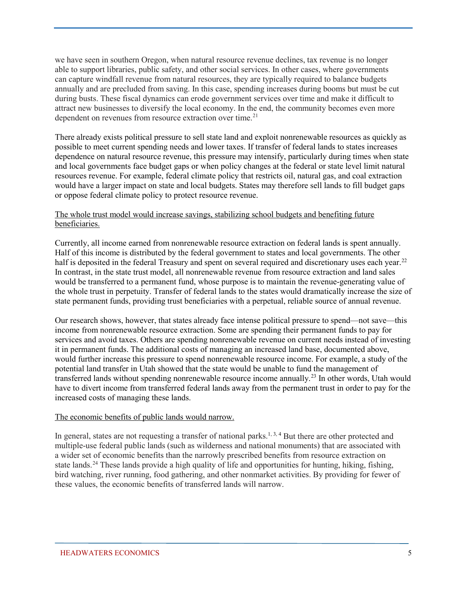we have seen in southern Oregon, when natural resource revenue declines, tax revenue is no longer able to support libraries, public safety, and other social services. In other cases, where governments can capture windfall revenue from natural resources, they are typically required to balance budgets annually and are precluded from saving. In this case, spending increases during booms but must be cut during busts. These fiscal dynamics can erode government services over time and make it difficult to attract new businesses to diversify the local economy. In the end, the community becomes even more dependent on revenues from resource extraction over time.<sup>[21](#page-8-15)</sup>

There already exists political pressure to sell state land and exploit nonrenewable resources as quickly as possible to meet current spending needs and lower taxes. If transfer of federal lands to states increases dependence on natural resource revenue, this pressure may intensify, particularly during times when state and local governments face budget gaps or when policy changes at the federal or state level limit natural resources revenue. For example, federal climate policy that restricts oil, natural gas, and coal extraction would have a larger impact on state and local budgets. States may therefore sell lands to fill budget gaps or oppose federal climate policy to protect resource revenue.

#### The whole trust model would increase savings, stabilizing school budgets and benefiting future beneficiaries.

Currently, all income earned from nonrenewable resource extraction on federal lands is spent annually. Half of this income is distributed by the federal government to states and local governments. The other half is deposited in the federal Treasury and spent on several required and discretionary uses each year.<sup>[22](#page-8-16)</sup> In contrast, in the state trust model, all nonrenewable revenue from resource extraction and land sales would be transferred to a permanent fund, whose purpose is to maintain the revenue-generating value of the whole trust in perpetuity. Transfer of federal lands to the states would dramatically increase the size of state permanent funds, providing trust beneficiaries with a perpetual, reliable source of annual revenue.

Our research shows, however, that states already face intense political pressure to spend—not save—this income from nonrenewable resource extraction. Some are spending their permanent funds to pay for services and avoid taxes. Others are spending nonrenewable revenue on current needs instead of investing it in permanent funds. The additional costs of managing an increased land base, documented above, would further increase this pressure to spend nonrenewable resource income. For example, a study of the potential land transfer in Utah showed that the state would be unable to fund the management of transferred lands without spending nonrenewable resource income annually.[23](#page-8-17) In other words, Utah would have to divert income from transferred federal lands away from the permanent trust in order to pay for the increased costs of managing these lands.

#### The economic benefits of public lands would narrow.

In general, states are not requesting a transfer of national parks.<sup>1, [3,](#page-2-2) [4](#page-2-3)</sup> But there are other protected and multiple-use federal public lands (such as wilderness and national monuments) that are associated with a wider set of economic benefits than the narrowly prescribed benefits from resource extraction on state lands.<sup>[24](#page-8-18)</sup> These lands provide a high quality of life and opportunities for hunting, hiking, fishing, bird watching, river running, food gathering, and other nonmarket activities. By providing for fewer of these values, the economic benefits of transferred lands will narrow.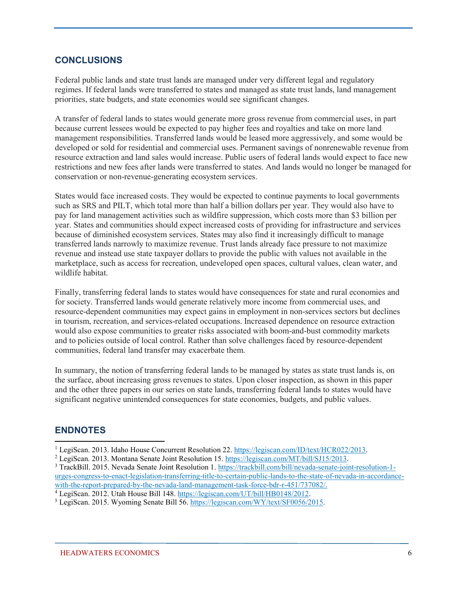#### **CONCLUSIONS**

Federal public lands and state trust lands are managed under very different legal and regulatory regimes. If federal lands were transferred to states and managed as state trust lands, land management priorities, state budgets, and state economies would see significant changes.

A transfer of federal lands to states would generate more gross revenue from commercial uses, in part because current lessees would be expected to pay higher fees and royalties and take on more land management responsibilities. Transferred lands would be leased more aggressively, and some would be developed or sold for residential and commercial uses. Permanent savings of nonrenewable revenue from resource extraction and land sales would increase. Public users of federal lands would expect to face new restrictions and new fees after lands were transferred to states. And lands would no longer be managed for conservation or non-revenue-generating ecosystem services.

States would face increased costs. They would be expected to continue payments to local governments such as SRS and PILT, which total more than half a billion dollars per year. They would also have to pay for land management activities such as wildfire suppression, which costs more than \$3 billion per year. States and communities should expect increased costs of providing for infrastructure and services because of diminished ecosystem services. States may also find it increasingly difficult to manage transferred lands narrowly to maximize revenue. Trust lands already face pressure to not maximize revenue and instead use state taxpayer dollars to provide the public with values not available in the marketplace, such as access for recreation, undeveloped open spaces, cultural values, clean water, and wildlife habitat.

Finally, transferring federal lands to states would have consequences for state and rural economies and for society. Transferred lands would generate relatively more income from commercial uses, and resource-dependent communities may expect gains in employment in non-services sectors but declines in tourism, recreation, and services-related occupations. Increased dependence on resource extraction would also expose communities to greater risks associated with boom-and-bust commodity markets and to policies outside of local control. Rather than solve challenges faced by resource-dependent communities, federal land transfer may exacerbate them.

In summary, the notion of transferring federal lands to be managed by states as state trust lands is, on the surface, about increasing gross revenues to states. Upon closer inspection, as shown in this paper and the other three papers in our series on state lands, transferring federal lands to states would have significant negative unintended consequences for state economies, budgets, and public values.

#### **ENDNOTES**

 $\overline{a}$ 

<span id="page-7-1"></span><span id="page-7-0"></span><sup>&</sup>lt;sup>1</sup> LegiScan. 2013. Idaho House Concurrent Resolution 22. [https://legiscan.com/ID/text/HCR022/2013.](https://legiscan.com/ID/text/HCR022/2013)<br><sup>2</sup> LegiScan. 2013. Montana Senate Joint Resolution 15[. https://legiscan.com/MT/bill/SJ15/2013.](https://legiscan.com/MT/bill/SJ15/2013)<br><sup>3</sup> TrackBill. 2015. Nevad

<span id="page-7-2"></span>[urges-congress-to-enact-legislation-transferring-title-to-certain-public-lands-to-the-state-of-nevada-in-accordance](https://trackbill.com/bill/nevada-senate-joint-resolution-1-urges-congress-to-enact-legislation-transferring-title-to-certain-public-lands-to-the-state-of-nevada-in-accordance-with-the-report-prepared-by-the-nevada-land-management-task-force-bdr-r-451/737082/)[with-the-report-prepared-by-the-nevada-land-management-task-force-bdr-r-451/737082/.](https://trackbill.com/bill/nevada-senate-joint-resolution-1-urges-congress-to-enact-legislation-transferring-title-to-certain-public-lands-to-the-state-of-nevada-in-accordance-with-the-report-prepared-by-the-nevada-land-management-task-force-bdr-r-451/737082/)<br><sup>4</sup> LegiScan. 2012. Utah House Bill 148. https://legiscan.com/UT/bill/HB0148/2012.

<span id="page-7-3"></span>

<span id="page-7-4"></span><sup>&</sup>lt;sup>5</sup> LegiScan. 2015. Wyoming Senate Bill 56[. https://legiscan.com/WY/text/SF0056/2015.](https://legiscan.com/WY/text/SF0056/2015)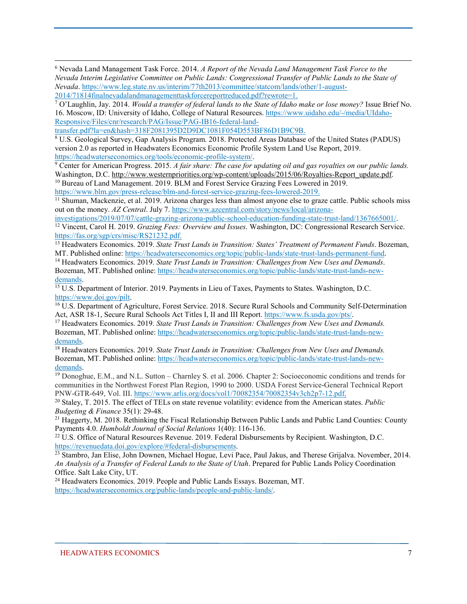<span id="page-8-0"></span> 6 Nevada Land Management Task Force. 2014. *A Report of the Nevada Land Management Task Force to the Nevada Interim Legislative Committee on Public Lands: Congressional Transfer of Public Lands to the State of Nevada*[. https://www.leg.state.nv.us/interim/77th2013/committee/statcom/lands/other/1-august-](https://www.leg.state.nv.us/interim/77th2013/committee/statcom/lands/other/1-august-2014/71814finalnevadalandmanagementtaskforcereportreduced.pdf?rewrote=1)[2014/71814finalnevadalandmanagementtaskforcereportreduced.pdf?rewrote=1.](https://www.leg.state.nv.us/interim/77th2013/committee/statcom/lands/other/1-august-2014/71814finalnevadalandmanagementtaskforcereportreduced.pdf?rewrote=1)

<span id="page-8-1"></span><sup>7</sup> O'Laughlin, Jay. 2014. *Would a transfer of federal lands to the State of Idaho make or lose money?* Issue Brief No. 16. Moscow, ID: University of Idaho, College of Natural Resources[. https://www.uidaho.edu/-/media/UIdaho-](https://www.uidaho.edu/-/media/UIdaho-Responsive/Files/cnr/research/PAG/Issue/PAG-IB16-federal-land-transfer.pdf?la=en&hash=318F2081395D2D9DC1081F054D553BF86D1B9C9B)[Responsive/Files/cnr/research/PAG/Issue/PAG-IB16-federal-land-](https://www.uidaho.edu/-/media/UIdaho-Responsive/Files/cnr/research/PAG/Issue/PAG-IB16-federal-land-transfer.pdf?la=en&hash=318F2081395D2D9DC1081F054D553BF86D1B9C9B)

[transfer.pdf?la=en&hash=318F2081395D2D9DC1081F054D553BF86D1B9C9B.](https://www.uidaho.edu/-/media/UIdaho-Responsive/Files/cnr/research/PAG/Issue/PAG-IB16-federal-land-transfer.pdf?la=en&hash=318F2081395D2D9DC1081F054D553BF86D1B9C9B)

<span id="page-8-2"></span><sup>8</sup> U.S. Geological Survey, Gap Analysis Program. 2018. Protected Areas Database of the United States (PADUS) version 2.0 as reported in Headwaters Economics Economic Profile System Land Use Report, 2019. [https://headwaterseconomics.org/tools/economic-profile-system/.](https://headwaterseconomics.org/tools/economic-profile-system/)

<span id="page-8-3"></span><sup>9</sup> Center for American Progress. 2015. *A fair share: The case for updating oil and gas royalties on our public lands.* Washington, D.C[. http://www.westernpriorities.org/wp-content/uploads/2015/06/Royalties-Report\\_update.pdf.](http://www.westernpriorities.org/wp-content/uploads/2015/06/Royalties-Report_update.pdf)

<span id="page-8-4"></span><sup>10</sup> Bureau of Land Management. 2019. BLM and Forest Service Grazing Fees Lowered in 2019. [https://www.blm.gov/press-release/blm-and-forest-service-grazing-fees-lowered-2019.](https://www.blm.gov/press-release/blm-and-forest-service-grazing-fees-lowered-2019)

<span id="page-8-5"></span><sup>11</sup> Shuman, Mackenzie, et al. 2019. Arizona charges less than almost anyone else to graze cattle. Public schools miss out on the money. *AZ Central*. July 7[. https://www.azcentral.com/story/news/local/arizona-](https://www.azcentral.com/story/news/local/arizona-investigations/2019/07/07/cattle-grazing-arizona-public-school-education-funding-state-trust-land/1367665001/)

<span id="page-8-6"></span>[investigations/2019/07/07/cattle-grazing-arizona-public-school-education-funding-state-trust-land/1367665001/.](https://www.azcentral.com/story/news/local/arizona-investigations/2019/07/07/cattle-grazing-arizona-public-school-education-funding-state-trust-land/1367665001/) <sup>12</sup> Vincent, Carol H. 2019. *Grazing Fees: Overview and Issues*. Washington, DC: Congressional Research Service. [https://fas.org/sgp/crs/misc/RS21232.pdf.](https://fas.org/sgp/crs/misc/RS21232.pdf)

<span id="page-8-7"></span><sup>13</sup> Headwaters Economics. 2019. *State Trust Lands in Transition: States' Treatment of Permanent Funds*. Bozeman, MT. Published online: [https://headwaterseconomics.org/topic/public-lands/state-trust-lands-permanent-fund.](https://headwaterseconomics.org/topic/public-lands/state-trust-lands-permanent-fund)

<span id="page-8-8"></span><sup>14</sup> Headwaters Economics. 2019. *State Trust Lands in Transition: Challenges from New Uses and Demands*. Bozeman, MT. Published online: [https://headwaterseconomics.org/topic/public-lands/state-trust-lands-new](https://headwaterseconomics.org/topic/public-lands/state-trust-lands-new-demands)[demands.](https://headwaterseconomics.org/topic/public-lands/state-trust-lands-new-demands)

<span id="page-8-9"></span><sup>15</sup> U.S. Department of Interior. 2019. Payments in Lieu of Taxes, Payments to States. Washington, D.C. [https://www.doi.gov/pilt.](https://www.doi.gov/pilt)

<span id="page-8-10"></span><sup>16</sup> U.S. Department of Agriculture, Forest Service. 2018. Secure Rural Schools and Community Self-Determination Act, ASR 18-1, Secure Rural Schools Act Titles I, II and III Report[. https://www.fs.usda.gov/pts/.](https://www.fs.usda.gov/pts/)

<span id="page-8-11"></span><sup>17</sup> Headwaters Economics. 2019. *State Trust Lands in Transition: Challenges from New Uses and Demands.* Bozeman, MT. Published online: [https://headwaterseconomics.org/topic/public-lands/state-trust-lands-new](https://headwaterseconomics.org/topic/public-lands/state-trust-lands-new-demands)[demands.](https://headwaterseconomics.org/topic/public-lands/state-trust-lands-new-demands)

<span id="page-8-12"></span><sup>18</sup> Headwaters Economics. 2019. *State Trust Lands in Transition: Challenges from New Uses and Demands.*  Bozeman, MT. Published online: [https://headwaterseconomics.org/topic/public-lands/state-trust-lands-new](https://headwaterseconomics.org/topic/public-lands/state-trust-lands-new-demands)[demands.](https://headwaterseconomics.org/topic/public-lands/state-trust-lands-new-demands)

<span id="page-8-13"></span><sup>19</sup> Donoghue, E.M., and N.L. Sutton – Charnley S. et al. 2006. Chapter 2: Socioeconomic conditions and trends for communities in the Northwest Forest Plan Region, 1990 to 2000. USDA Forest Service-General Technical Report PNW-GTR-649, Vol. III. [https://www.arlis.org/docs/vol1/70082354/70082354v3ch2p7-12.pdf.](https://www.arlis.org/docs/vol1/70082354/70082354v3ch2p7-12.pdf)

<span id="page-8-14"></span><sup>20</sup> Staley, T. 2015. The effect of TELs on state revenue volatility: evidence from the American states. *Public Budgeting & Finance* 35(1): 29-48.

<span id="page-8-15"></span><sup>21</sup> Haggerty, M. 2018. Rethinking the Fiscal Relationship Between Public Lands and Public Land Counties: County Payments 4.0. *Humboldt Journal of Social Relations* 1(40): 116-136.

<span id="page-8-16"></span><sup>22</sup> U.S. Office of Natural Resources Revenue. 2019. Federal Disbursements by Recipient. Washington, D.C. [https://revenuedata.doi.gov/explore/#federal-disbursements.](https://revenuedata.doi.gov/explore/#federal-disbursements)

<span id="page-8-17"></span><sup>23</sup> Stambro, Jan Elise, John Downen, Michael Hogue, Levi Pace, Paul Jakus, and Therese Grijalva. November, 2014. *An Analysis of a Transfer of Federal Lands to the State of Utah*. Prepared for Public Lands Policy Coordination Office. Salt Lake City, UT.

<span id="page-8-18"></span><sup>24</sup> Headwaters Economics. 2019. People and Public Lands Essays. Bozeman, MT. [https://headwaterseconomics.org/public-lands/people-and-public-lands/.](https://headwaterseconomics.org/public-lands/people-and-public-lands/)